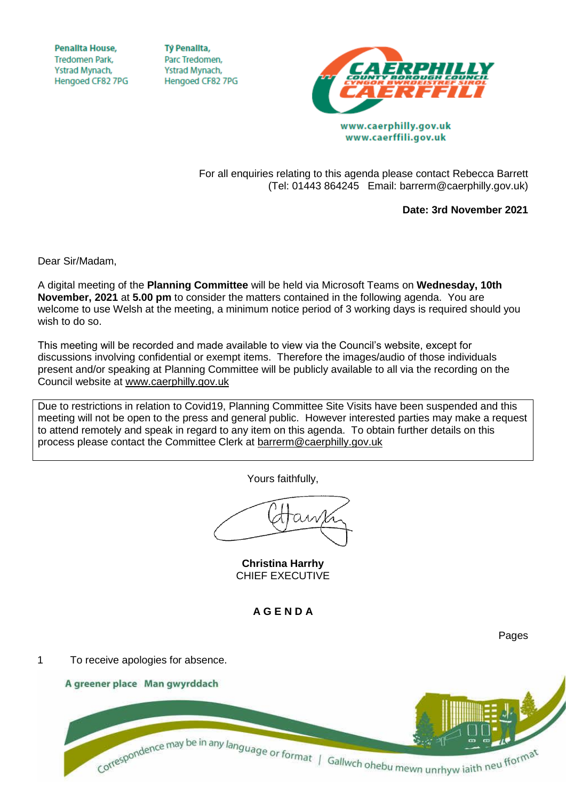**Penallta House, Tredomen Park.** Ystrad Mynach, Hengoed CF82 7PG

**TV Penallta,** Parc Tredomen. Ystrad Mynach, Hengoed CF82 7PG



www.caerffili.gov.uk

For all enquiries relating to this agenda please contact Rebecca Barrett (Tel: 01443 864245 Email: barrerm@caerphilly.gov.uk)

**Date: 3rd November 2021**

Dear Sir/Madam,

A digital meeting of the **Planning Committee** will be held via Microsoft Teams on **Wednesday, 10th November, 2021** at **5.00 pm** to consider the matters contained in the following agenda. You are welcome to use Welsh at the meeting, a minimum notice period of 3 working days is required should you wish to do so.

This meeting will be recorded and made available to view via the Council's website, except for discussions involving confidential or exempt items. Therefore the images/audio of those individuals present and/or speaking at Planning Committee will be publicly available to all via the recording on the Council website at [www.caerphilly.gov.uk](http://www.caerphilly.gov.uk/)

Due to restrictions in relation to Covid19, Planning Committee Site Visits have been suspended and this meeting will not be open to the press and general public. However interested parties may make a request to attend remotely and speak in regard to any item on this agenda. To obtain further details on this process please contact the Committee Clerk at [barrerm@caerphilly.gov.uk](mailto:barrerm@caerphilly.gov.uk)

Yours faithfully,

**Christina Harrhy** CHIEF EXECUTIVE

**A G E N D A**



Pages